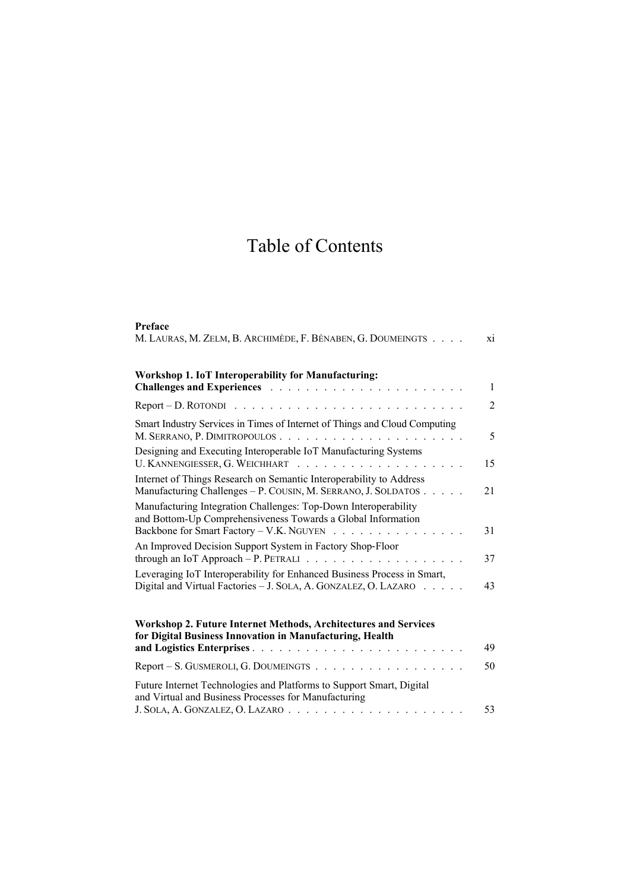## Table of Contents

| Preface                                                                                                                                                                     |                |
|-----------------------------------------------------------------------------------------------------------------------------------------------------------------------------|----------------|
| M. LAURAS, M. ZELM, B. ARCHIMÈDE, F. BÉNABEN, G. DOUMEINGTS                                                                                                                 | xi             |
| Workshop 1. IoT Interoperability for Manufacturing:                                                                                                                         | $\mathbf{1}$   |
|                                                                                                                                                                             | $\overline{2}$ |
| Smart Industry Services in Times of Internet of Things and Cloud Computing<br>M. SERRANO, P. DIMITROPOULOS                                                                  | 5              |
| Designing and Executing Interoperable IoT Manufacturing Systems                                                                                                             | 15             |
| Internet of Things Research on Semantic Interoperability to Address<br>Manufacturing Challenges - P. COUSIN, M. SERRANO, J. SOLDATOS                                        | 21             |
| Manufacturing Integration Challenges: Top-Down Interoperability<br>and Bottom-Up Comprehensiveness Towards a Global Information<br>Backbone for Smart Factory – V.K. NGUYEN | 31             |
| An Improved Decision Support System in Factory Shop-Floor<br>through an IoT Approach - P. PETRALI $\ldots$                                                                  | 37             |
| Leveraging IoT Interoperability for Enhanced Business Process in Smart,<br>Digital and Virtual Factories - J. SOLA, A. GONZALEZ, O. LAZARO                                  | 43             |
| Workshop 2. Future Internet Methods, Architectures and Services<br>for Digital Business Innovation in Manufacturing, Health                                                 | 49             |
| Report – S. GUSMEROLI, G. DOUMEINGTS                                                                                                                                        | 50             |
| Future Internet Technologies and Platforms to Support Smart, Digital<br>and Virtual and Business Processes for Manufacturing                                                |                |
|                                                                                                                                                                             | 53             |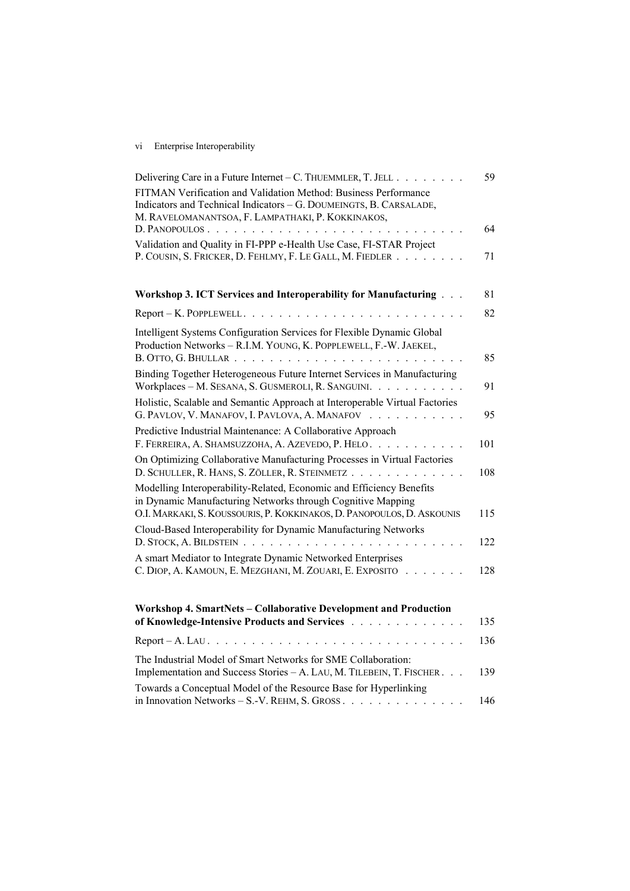## vi Enterprise Interoperability

| Delivering Care in a Future Internet – C. THUEMMLER, T. JELL                                                                                                                                                                                                                                                                                                                                                                                                                                                                                                                                | 59  |
|---------------------------------------------------------------------------------------------------------------------------------------------------------------------------------------------------------------------------------------------------------------------------------------------------------------------------------------------------------------------------------------------------------------------------------------------------------------------------------------------------------------------------------------------------------------------------------------------|-----|
| FITMAN Verification and Validation Method: Business Performance<br>Indicators and Technical Indicators - G. DOUMEINGTS, B. CARSALADE,<br>M. RAVELOMANANTSOA, F. LAMPATHAKI, P. KOKKINAKOS,                                                                                                                                                                                                                                                                                                                                                                                                  |     |
| D. PANOPOULOS                                                                                                                                                                                                                                                                                                                                                                                                                                                                                                                                                                               | 64  |
| Validation and Quality in FI-PPP e-Health Use Case, FI-STAR Project<br>P. COUSIN, S. FRICKER, D. FEHLMY, F. LE GALL, M. FIEDLER                                                                                                                                                                                                                                                                                                                                                                                                                                                             | 71  |
| Workshop 3. ICT Services and Interoperability for Manufacturing                                                                                                                                                                                                                                                                                                                                                                                                                                                                                                                             | 81  |
| $Report - K. POPPEWELL. \ldots \ldots \ldots$                                                                                                                                                                                                                                                                                                                                                                                                                                                                                                                                               | 82  |
| Intelligent Systems Configuration Services for Flexible Dynamic Global<br>Production Networks - R.I.M. YOUNG, K. POPPLEWELL, F.-W. JAEKEL,                                                                                                                                                                                                                                                                                                                                                                                                                                                  | 85  |
| Binding Together Heterogeneous Future Internet Services in Manufacturing<br>Workplaces - M. SESANA, S. GUSMEROLI, R. SANGUINI.                                                                                                                                                                                                                                                                                                                                                                                                                                                              | 91  |
| Holistic, Scalable and Semantic Approach at Interoperable Virtual Factories<br>G. PAVLOV, V. MANAFOV, I. PAVLOVA, A. MANAFOV<br>$\mathcal{L}(\mathcal{L}(\mathcal{L}(\mathcal{L}(\mathcal{L}(\mathcal{L}(\mathcal{L}(\mathcal{L}(\mathcal{L}(\mathcal{L}(\mathcal{L}(\mathcal{L}(\mathcal{L}(\mathcal{L}(\mathcal{L}(\mathcal{L}(\mathcal{L}(\mathcal{L}(\mathcal{L}(\mathcal{L}(\mathcal{L}(\mathcal{L}(\mathcal{L}(\mathcal{L}(\mathcal{L}(\mathcal{L}(\mathcal{L}(\mathcal{L}(\mathcal{L}(\mathcal{L}(\mathcal{L}(\mathcal{L}(\mathcal{L}(\mathcal{L}(\mathcal{L}(\mathcal{L}(\mathcal{$ | 95  |
| Predictive Industrial Maintenance: A Collaborative Approach<br>F. FERREIRA, A. SHAMSUZZOHA, A. AZEVEDO, P. HELO.                                                                                                                                                                                                                                                                                                                                                                                                                                                                            | 101 |
| On Optimizing Collaborative Manufacturing Processes in Virtual Factories<br>D. SCHULLER, R. HANS, S. ZÖLLER, R. STEINMETZ                                                                                                                                                                                                                                                                                                                                                                                                                                                                   | 108 |
| Modelling Interoperability-Related, Economic and Efficiency Benefits<br>in Dynamic Manufacturing Networks through Cognitive Mapping<br>O.I. MARKAKI, S. KOUSSOURIS, P. KOKKINAKOS, D. PANOPOULOS, D. ASKOUNIS                                                                                                                                                                                                                                                                                                                                                                               | 115 |
| Cloud-Based Interoperability for Dynamic Manufacturing Networks<br>D. STOCK, A. BILDSTEIN<br>$\mathbb{R}^n$ . The set of the $\mathbb{R}^n$                                                                                                                                                                                                                                                                                                                                                                                                                                                 | 122 |
| A smart Mediator to Integrate Dynamic Networked Enterprises<br>C. DIOP, A. KAMOUN, E. MEZGHANI, M. ZOUARI, E. EXPOSITO                                                                                                                                                                                                                                                                                                                                                                                                                                                                      | 128 |
| Workshop 4. SmartNets - Collaborative Development and Production<br>of Knowledge-Intensive Products and Services                                                                                                                                                                                                                                                                                                                                                                                                                                                                            | 135 |
| $Report - A. LAU.$ .                                                                                                                                                                                                                                                                                                                                                                                                                                                                                                                                                                        | 136 |
| The Industrial Model of Smart Networks for SME Collaboration:<br>Implementation and Success Stories - A. LAU, M. TILEBEIN, T. FISCHER.                                                                                                                                                                                                                                                                                                                                                                                                                                                      | 139 |
| Towards a Conceptual Model of the Resource Base for Hyperlinking                                                                                                                                                                                                                                                                                                                                                                                                                                                                                                                            | 146 |
|                                                                                                                                                                                                                                                                                                                                                                                                                                                                                                                                                                                             |     |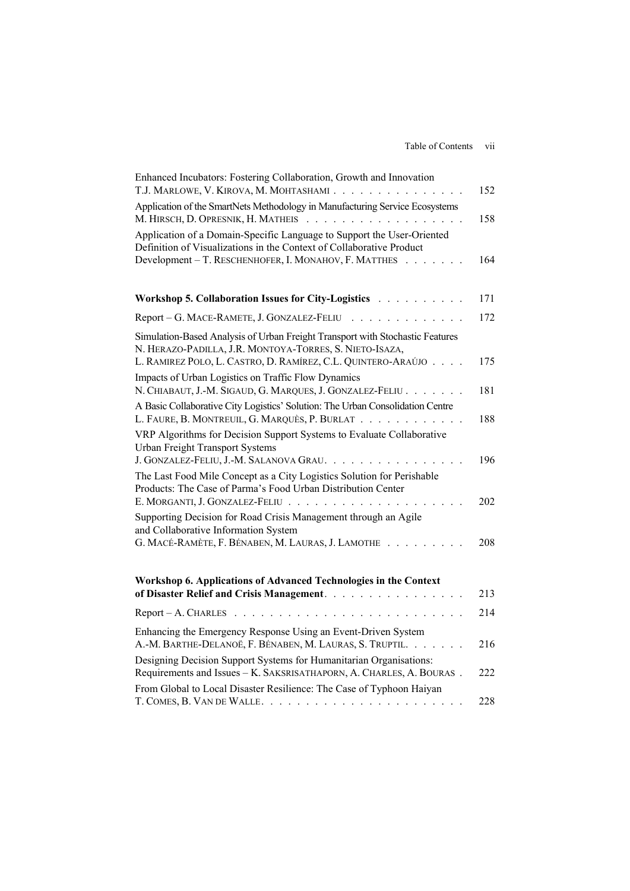| Enhanced Incubators: Fostering Collaboration, Growth and Innovation<br>T.J. MARLOWE, V. KIROVA, M. MOHTASHAMI.<br>$\mathbf{r}$ . The set of $\mathbf{r}$                                                     | 152 |
|--------------------------------------------------------------------------------------------------------------------------------------------------------------------------------------------------------------|-----|
| Application of the SmartNets Methodology in Manufacturing Service Ecosystems<br>M. HIRSCH, D. OPRESNIK, H. MATHEIS<br>.                                                                                      | 158 |
| Application of a Domain-Specific Language to Support the User-Oriented<br>Definition of Visualizations in the Context of Collaborative Product<br>Development - T. RESCHENHOFER, I. MONAHOV, F. MATTHES      | 164 |
| Workshop 5. Collaboration Issues for City-Logistics                                                                                                                                                          | 171 |
| Report - G. MACE-RAMETE, J. GONZALEZ-FELIU                                                                                                                                                                   | 172 |
| Simulation-Based Analysis of Urban Freight Transport with Stochastic Features<br>N. HERAZO-PADILLA, J.R. MONTOYA-TORRES, S. NIETO-ISAZA,<br>L. RAMIREZ POLO, L. CASTRO, D. RAMÍREZ, C.L. QUINTERO-ARAÚJO.    | 175 |
| Impacts of Urban Logistics on Traffic Flow Dynamics<br>N. CHIABAUT, J.-M. SIGAUD, G. MARQUES, J. GONZALEZ-FELIU.                                                                                             | 181 |
| A Basic Collaborative City Logistics' Solution: The Urban Consolidation Centre<br>L. FAURE, B. MONTREUIL, G. MARQUÈS, P. BURLAT.<br>$\mathbb{R}^d$ . The set of the $\mathbb{R}^d$                           | 188 |
| VRP Algorithms for Decision Support Systems to Evaluate Collaborative<br><b>Urban Freight Transport Systems</b>                                                                                              |     |
| J. GONZALEZ-FELIU, J.-M. SALANOVA GRAU. .<br>The Last Food Mile Concept as a City Logistics Solution for Perishable<br>Products: The Case of Parma's Food Urban Distribution Center                          | 196 |
| E. MORGANTI, J. GONZALEZ-FELIU.<br>$\mathcal{A}$ . The set of the set of the set of $\mathcal{A}$<br>Supporting Decision for Road Crisis Management through an Agile<br>and Collaborative Information System | 202 |
| G. MACÉ-RAMÈTE, F. BÉNABEN, M. LAURAS, J. LAMOTHE                                                                                                                                                            | 208 |
| Workshop 6. Applications of Advanced Technologies in the Context<br>of Disaster Relief and Crisis Management.                                                                                                | 213 |
| Report - A. CHARLES<br>$\mathbf{r}$ . The state of the state $\mathbf{r}$                                                                                                                                    | 214 |
| Enhancing the Emergency Response Using an Event-Driven System<br>A.-M. BARTHE-DELANOË, F. BÉNABEN, M. LAURAS, S. TRUPTIL.                                                                                    | 216 |
| Designing Decision Support Systems for Humanitarian Organisations:<br>Requirements and Issues - K. SAKSRISATHAPORN, A. CHARLES, A. BOURAS.                                                                   | 222 |
| From Global to Local Disaster Resilience: The Case of Typhoon Haiyan                                                                                                                                         | 228 |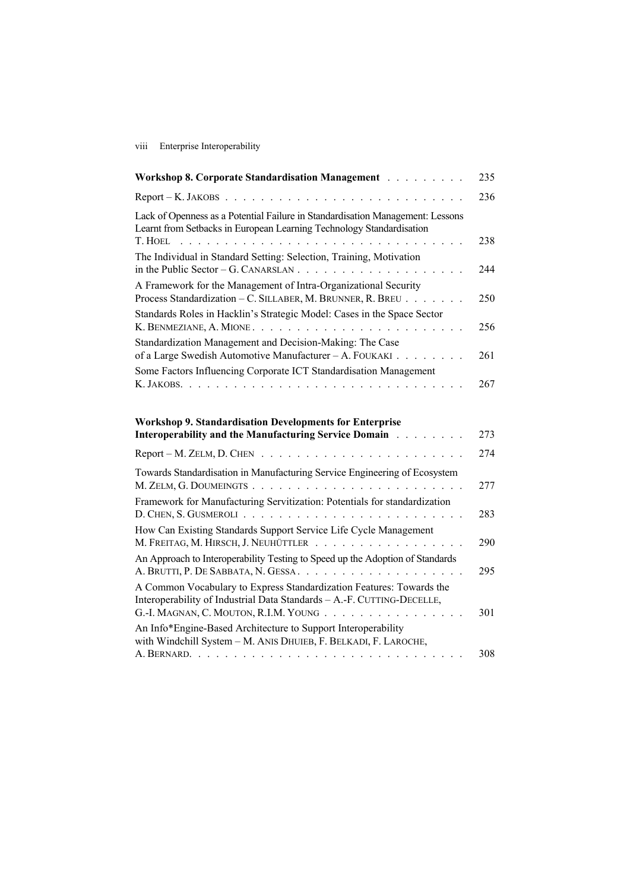viii Enterprise Interoperability

| Workshop 8. Corporate Standardisation Management                                                                                                                          | 235 |
|---------------------------------------------------------------------------------------------------------------------------------------------------------------------------|-----|
| $Report - K. JAKOBS$                                                                                                                                                      | 236 |
| Lack of Openness as a Potential Failure in Standardisation Management: Lessons<br>Learnt from Setbacks in European Learning Technology Standardisation<br>T. HOEL         | 238 |
| The Individual in Standard Setting: Selection, Training, Motivation<br>in the Public Sector – G. CANARSLAN $\ldots$ $\ldots$ $\ldots$ $\ldots$ $\ldots$ $\ldots$ $\ldots$ | 244 |
| A Framework for the Management of Intra-Organizational Security<br>Process Standardization - C. SILLABER, M. BRUNNER, R. BREU                                             | 250 |
| Standards Roles in Hacklin's Strategic Model: Cases in the Space Sector<br>K. BENMEZIANE, A. MIONE                                                                        | 256 |
| Standardization Management and Decision-Making: The Case<br>of a Large Swedish Automotive Manufacturer - A. FOUKAKI                                                       | 261 |
| Some Factors Influencing Corporate ICT Standardisation Management<br>K. JAKOBS.                                                                                           | 267 |
| <b>Workshop 9. Standardisation Developments for Enterprise</b><br>Interoperability and the Manufacturing Service Domain                                                   | 273 |
| $Report - M. ZELM, D. CHEN$                                                                                                                                               | 274 |
| Towards Standardisation in Manufacturing Service Engineering of Ecosystem                                                                                                 | 277 |
| Framework for Manufacturing Servitization: Potentials for standardization<br>$D.$ CHEN, S. GUSMEROLI $\ldots$ $\ldots$ $\ldots$ $\ldots$ $\ldots$ $\ldots$                | 283 |
| How Can Existing Standards Support Service Life Cycle Management                                                                                                          |     |

| M. ZELM, G. DOUMEINGTS                                                                                                                                                                  | 277 |
|-----------------------------------------------------------------------------------------------------------------------------------------------------------------------------------------|-----|
| Framework for Manufacturing Servitization: Potentials for standardization                                                                                                               | 283 |
| How Can Existing Standards Support Service Life Cycle Management<br>M. FREITAG, M. HIRSCH, J. NEUHÜTTLER                                                                                | 290 |
| An Approach to Interoperability Testing to Speed up the Adoption of Standards                                                                                                           | 295 |
| A Common Vocabulary to Express Standardization Features: Towards the<br>Interoperability of Industrial Data Standards - A.-F. CUTTING-DECELLE,<br>G.-I. MAGNAN, C. MOUTON, R.I.M. YOUNG | 301 |
| An Info*Engine-Based Architecture to Support Interoperability<br>with Windchill System - M. ANIS DHUIEB, F. BELKADI, F. LAROCHE,                                                        |     |
|                                                                                                                                                                                         | 308 |